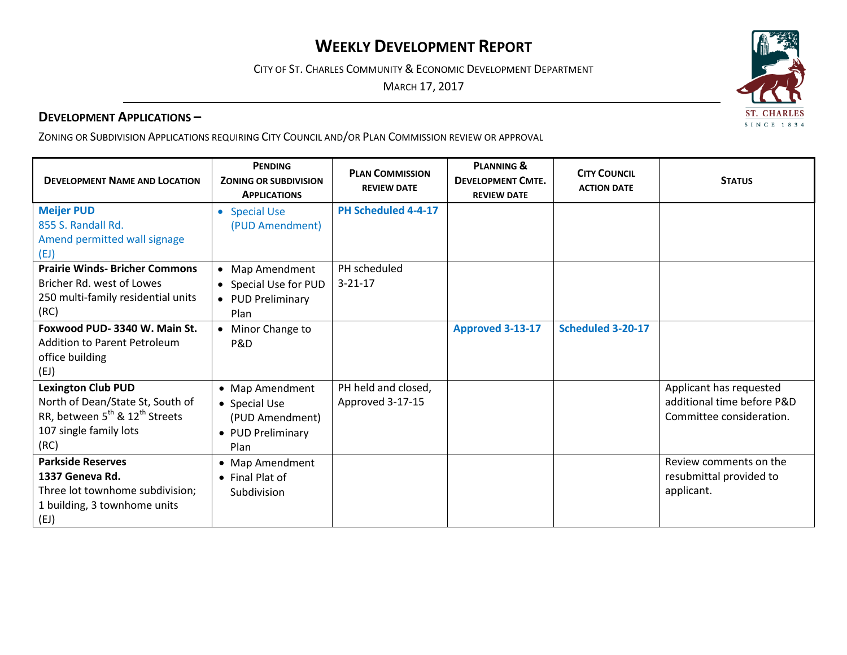# **WEEKLY DEVELOPMENT REPORT**

CITY OF ST. CHARLES COMMUNITY & ECONOMIC DEVELOPMENT DEPARTMENT

MARCH 17, 2017

## **DEVELOPMENT APPLICATIONS –**

ZONING OR SUBDIVISION APPLICATIONS REQUIRING CITY COUNCIL AND/OR PLAN COMMISSION REVIEW OR APPROVAL

| <b>DEVELOPMENT NAME AND LOCATION</b>                                                                                                                      | <b>PENDING</b><br><b>ZONING OR SUBDIVISION</b><br><b>APPLICATIONS</b>            | <b>PLAN COMMISSION</b><br><b>REVIEW DATE</b> | <b>PLANNING &amp;</b><br><b>DEVELOPMENT CMTE.</b><br><b>REVIEW DATE</b> | <b>CITY COUNCIL</b><br><b>ACTION DATE</b> | <b>STATUS</b>                                                                     |
|-----------------------------------------------------------------------------------------------------------------------------------------------------------|----------------------------------------------------------------------------------|----------------------------------------------|-------------------------------------------------------------------------|-------------------------------------------|-----------------------------------------------------------------------------------|
| <b>Meijer PUD</b><br>855 S. Randall Rd.<br>Amend permitted wall signage                                                                                   | <b>Special Use</b><br>(PUD Amendment)                                            | PH Scheduled 4-4-17                          |                                                                         |                                           |                                                                                   |
| (EJ)<br><b>Prairie Winds- Bricher Commons</b><br>Bricher Rd. west of Lowes<br>250 multi-family residential units<br>(RC)                                  | • Map Amendment<br>• Special Use for PUD<br>• PUD Preliminary<br>Plan            | PH scheduled<br>$3 - 21 - 17$                |                                                                         |                                           |                                                                                   |
| Foxwood PUD-3340 W. Main St.<br>Addition to Parent Petroleum<br>office building<br>(EJ)                                                                   | Minor Change to<br>P&D                                                           |                                              | <b>Approved 3-13-17</b>                                                 | Scheduled 3-20-17                         |                                                                                   |
| <b>Lexington Club PUD</b><br>North of Dean/State St, South of<br>RR, between 5 <sup>th</sup> & 12 <sup>th</sup> Streets<br>107 single family lots<br>(RC) | • Map Amendment<br>• Special Use<br>(PUD Amendment)<br>• PUD Preliminary<br>Plan | PH held and closed,<br>Approved 3-17-15      |                                                                         |                                           | Applicant has requested<br>additional time before P&D<br>Committee consideration. |
| <b>Parkside Reserves</b><br>1337 Geneva Rd.<br>Three lot townhome subdivision;<br>1 building, 3 townhome units<br>(EJ)                                    | • Map Amendment<br>• Final Plat of<br>Subdivision                                |                                              |                                                                         |                                           | Review comments on the<br>resubmittal provided to<br>applicant.                   |

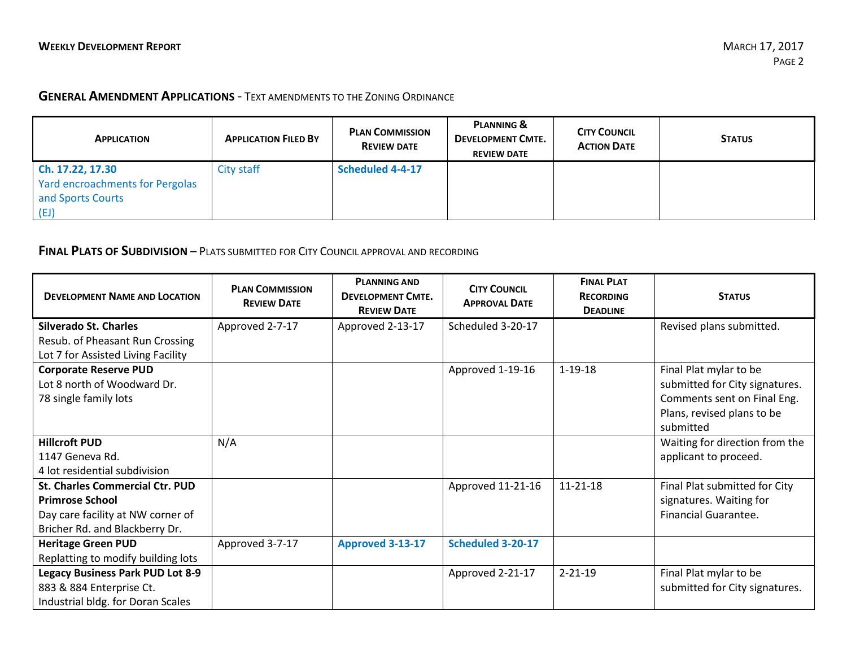### **GENERAL AMENDMENT APPLICATIONS** - TEXT AMENDMENTS TO THE ZONING ORDINANCE

| <b>APPLICATION</b>              | <b>APPLICATION FILED BY</b> | <b>PLAN COMMISSION</b><br><b>REVIEW DATE</b> | PLANNING &<br><b>DEVELOPMENT CMTE.</b><br><b>REVIEW DATE</b> | <b>CITY COUNCIL</b><br><b>ACTION DATE</b> | <b>STATUS</b> |
|---------------------------------|-----------------------------|----------------------------------------------|--------------------------------------------------------------|-------------------------------------------|---------------|
| Ch. 17.22, 17.30                | City staff                  | <b>Scheduled 4-4-17</b>                      |                                                              |                                           |               |
| Yard encroachments for Pergolas |                             |                                              |                                                              |                                           |               |
| and Sports Courts               |                             |                                              |                                                              |                                           |               |
| (EJ)                            |                             |                                              |                                                              |                                           |               |

### **FINAL PLATS OF SUBDIVISION** – PLATS SUBMITTED FOR CITY COUNCIL APPROVAL AND RECORDING

| <b>DEVELOPMENT NAME AND LOCATION</b>    | <b>PLAN COMMISSION</b><br><b>REVIEW DATE</b> | <b>PLANNING AND</b><br><b>DEVELOPMENT CMTE.</b><br><b>REVIEW DATE</b> | <b>CITY COUNCIL</b><br><b>APPROVAL DATE</b> | <b>FINAL PLAT</b><br><b>RECORDING</b><br><b>DEADLINE</b> | <b>STATUS</b>                  |
|-----------------------------------------|----------------------------------------------|-----------------------------------------------------------------------|---------------------------------------------|----------------------------------------------------------|--------------------------------|
| <b>Silverado St. Charles</b>            | Approved 2-7-17                              | Approved 2-13-17                                                      | Scheduled 3-20-17                           |                                                          | Revised plans submitted.       |
| Resub. of Pheasant Run Crossing         |                                              |                                                                       |                                             |                                                          |                                |
| Lot 7 for Assisted Living Facility      |                                              |                                                                       |                                             |                                                          |                                |
| <b>Corporate Reserve PUD</b>            |                                              |                                                                       | Approved 1-19-16                            | $1 - 19 - 18$                                            | Final Plat mylar to be         |
| Lot 8 north of Woodward Dr.             |                                              |                                                                       |                                             |                                                          | submitted for City signatures. |
| 78 single family lots                   |                                              |                                                                       |                                             |                                                          | Comments sent on Final Eng.    |
|                                         |                                              |                                                                       |                                             |                                                          | Plans, revised plans to be     |
|                                         |                                              |                                                                       |                                             |                                                          | submitted                      |
| <b>Hillcroft PUD</b>                    | N/A                                          |                                                                       |                                             |                                                          | Waiting for direction from the |
| 1147 Geneva Rd.                         |                                              |                                                                       |                                             |                                                          | applicant to proceed.          |
| 4 lot residential subdivision           |                                              |                                                                       |                                             |                                                          |                                |
| <b>St. Charles Commercial Ctr. PUD</b>  |                                              |                                                                       | Approved 11-21-16                           | 11-21-18                                                 | Final Plat submitted for City  |
| <b>Primrose School</b>                  |                                              |                                                                       |                                             |                                                          | signatures. Waiting for        |
| Day care facility at NW corner of       |                                              |                                                                       |                                             |                                                          | <b>Financial Guarantee.</b>    |
| Bricher Rd. and Blackberry Dr.          |                                              |                                                                       |                                             |                                                          |                                |
| <b>Heritage Green PUD</b>               | Approved 3-7-17                              | Approved 3-13-17                                                      | Scheduled 3-20-17                           |                                                          |                                |
| Replatting to modify building lots      |                                              |                                                                       |                                             |                                                          |                                |
| <b>Legacy Business Park PUD Lot 8-9</b> |                                              |                                                                       | Approved 2-21-17                            | $2 - 21 - 19$                                            | Final Plat mylar to be         |
| 883 & 884 Enterprise Ct.                |                                              |                                                                       |                                             |                                                          | submitted for City signatures. |
| Industrial bldg. for Doran Scales       |                                              |                                                                       |                                             |                                                          |                                |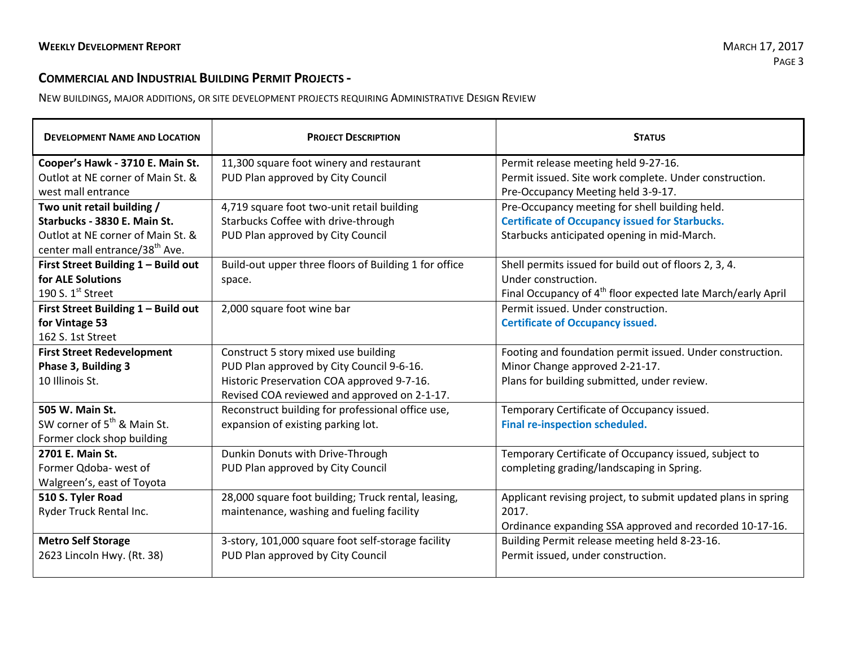## **COMMERCIAL AND INDUSTRIAL BUILDING PERMIT PROJECTS -**

NEW BUILDINGS, MAJOR ADDITIONS, OR SITE DEVELOPMENT PROJECTS REQUIRING ADMINISTRATIVE DESIGN REVIEW

| <b>DEVELOPMENT NAME AND LOCATION</b>       | <b>PROJECT DESCRIPTION</b>                            | <b>STATUS</b>                                                            |  |
|--------------------------------------------|-------------------------------------------------------|--------------------------------------------------------------------------|--|
| Cooper's Hawk - 3710 E. Main St.           | 11,300 square foot winery and restaurant              | Permit release meeting held 9-27-16.                                     |  |
| Outlot at NE corner of Main St. &          | PUD Plan approved by City Council                     | Permit issued. Site work complete. Under construction.                   |  |
| west mall entrance                         |                                                       | Pre-Occupancy Meeting held 3-9-17.                                       |  |
| Two unit retail building /                 | 4,719 square foot two-unit retail building            | Pre-Occupancy meeting for shell building held.                           |  |
| Starbucks - 3830 E. Main St.               | Starbucks Coffee with drive-through                   | <b>Certificate of Occupancy issued for Starbucks.</b>                    |  |
| Outlot at NE corner of Main St. &          | PUD Plan approved by City Council                     | Starbucks anticipated opening in mid-March.                              |  |
| center mall entrance/38 <sup>th</sup> Ave. |                                                       |                                                                          |  |
| First Street Building 1 - Build out        | Build-out upper three floors of Building 1 for office | Shell permits issued for build out of floors 2, 3, 4.                    |  |
| for ALE Solutions                          | space.                                                | Under construction.                                                      |  |
| 190 S. $1st$ Street                        |                                                       | Final Occupancy of 4 <sup>th</sup> floor expected late March/early April |  |
| First Street Building 1 - Build out        | 2,000 square foot wine bar                            | Permit issued. Under construction.                                       |  |
| for Vintage 53                             |                                                       | <b>Certificate of Occupancy issued.</b>                                  |  |
| 162 S. 1st Street                          |                                                       |                                                                          |  |
| <b>First Street Redevelopment</b>          | Construct 5 story mixed use building                  | Footing and foundation permit issued. Under construction.                |  |
| Phase 3, Building 3                        | PUD Plan approved by City Council 9-6-16.             | Minor Change approved 2-21-17.                                           |  |
| 10 Illinois St.                            | Historic Preservation COA approved 9-7-16.            | Plans for building submitted, under review.                              |  |
|                                            | Revised COA reviewed and approved on 2-1-17.          |                                                                          |  |
| 505 W. Main St.                            | Reconstruct building for professional office use,     | Temporary Certificate of Occupancy issued.                               |  |
| SW corner of 5 <sup>th</sup> & Main St.    | expansion of existing parking lot.                    | Final re-inspection scheduled.                                           |  |
| Former clock shop building                 |                                                       |                                                                          |  |
| 2701 E. Main St.                           | Dunkin Donuts with Drive-Through                      | Temporary Certificate of Occupancy issued, subject to                    |  |
| Former Qdoba- west of                      | PUD Plan approved by City Council                     | completing grading/landscaping in Spring.                                |  |
| Walgreen's, east of Toyota                 |                                                       |                                                                          |  |
| 510 S. Tyler Road                          | 28,000 square foot building; Truck rental, leasing,   | Applicant revising project, to submit updated plans in spring            |  |
| Ryder Truck Rental Inc.                    | maintenance, washing and fueling facility             | 2017.                                                                    |  |
|                                            |                                                       | Ordinance expanding SSA approved and recorded 10-17-16.                  |  |
| <b>Metro Self Storage</b>                  | 3-story, 101,000 square foot self-storage facility    | Building Permit release meeting held 8-23-16.                            |  |
| 2623 Lincoln Hwy. (Rt. 38)                 | PUD Plan approved by City Council                     | Permit issued, under construction.                                       |  |
|                                            |                                                       |                                                                          |  |